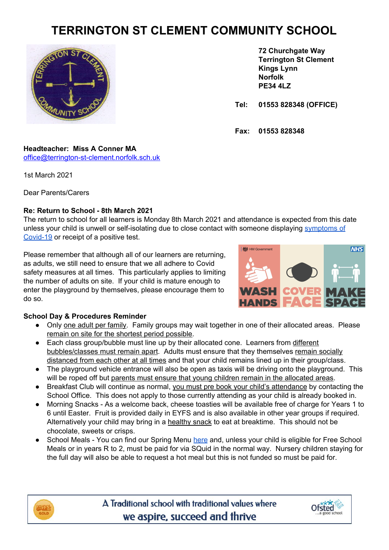# **TERRINGTON ST CLEMENT COMMUNITY SCHOOL**



**72 Churchgate Way Terrington St Clement Kings Lynn Norfolk PE34 4LZ**

**Tel: 01553 828348 (OFFICE)**

**Fax: 01553 828348**

### **Headteacher: Miss A Conner MA** [office@terrington-st-clement.norfolk.sch.uk](mailto:office@terrington-st-clement.norfolk.sch.uk)

1st March 2021

Dear Parents/Carers

# **Re: Return to School - 8th March 2021**

The return to school for all learners is Monday 8th March 2021 and attendance is expected from this date unless your child is unwell or self-isolating due to close contact with someone displaying [symptoms](https://www.terringtonstclementschool.co.uk/page/?title=Main+Symptoms&pid=306) of [Covid-19](https://www.terringtonstclementschool.co.uk/page/?title=Main+Symptoms&pid=306) or receipt of a positive test.

Please remember that although all of our learners are returning, as adults, we still need to ensure that we all adhere to Covid safety measures at all times. This particularly applies to limiting the number of adults on site. If your child is mature enough to enter the playground by themselves, please encourage them to do so.



# **School Day & Procedures Reminder**

- Only one adult per family. Family groups may wait together in one of their allocated areas. Please remain on site for the shortest period possible.
- Each class group/bubble must line up by their allocated cone. Learners from different bubbles/classes must remain apart. Adults must ensure that they themselves remain socially distanced from each other at all times and that your child remains lined up in their group/class.
- The playground vehicle entrance will also be open as taxis will be driving onto the playground. This will be roped off but parents must ensure that young children remain in the allocated areas.
- Breakfast Club will continue as normal, you must pre book your child's attendance by contacting the School Office. This does not apply to those currently attending as your child is already booked in.
- Morning Snacks As a welcome back, cheese toasties will be available free of charge for Years 1 to 6 until Easter. Fruit is provided daily in EYFS and is also available in other year groups if required. Alternatively your child may bring in a healthy snack to eat at breaktime. This should not be chocolate, sweets or crisps.
- School Meals You can find our Spring Menu [here](https://www.terringtonstclementschool.co.uk/page/?title=School+Meals&pid=209&action=saved) and, unless your child is eligible for Free School Meals or in years R to 2, must be paid for via SQuid in the normal way. Nursery children staying for the full day will also be able to request a hot meal but this is not funded so must be paid for.



A Traditional school with traditional values where we aspire, succeed and thrive